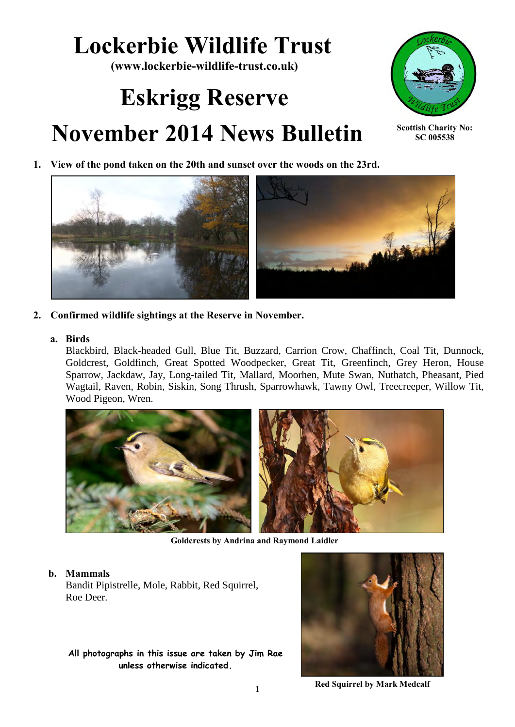# **Lockerbie Wildlife Trust**

**(www.lockerbie-wildlife-trust.co.uk)** 

# **Eskrigg Reserve November 2014 News Bulletin**



**Scottish Charity No: SC 005538**

**1. View of the pond taken on the 20th and sunset over the woods on the 23rd.** 



**2. Confirmed wildlife sightings at the Reserve in November.**

#### **a. Birds**

Blackbird, Black-headed Gull, Blue Tit, Buzzard, Carrion Crow, Chaffinch, Coal Tit, Dunnock, Goldcrest, Goldfinch, Great Spotted Woodpecker, Great Tit, Greenfinch, Grey Heron, House Sparrow, Jackdaw, Jay, Long-tailed Tit, Mallard, Moorhen, Mute Swan, Nuthatch, Pheasant, Pied Wagtail, Raven, Robin, Siskin, Song Thrush, Sparrowhawk, Tawny Owl, Treecreeper, Willow Tit, Wood Pigeon, Wren.



**Goldcrests by Andrina and Raymond Laidler**

#### **b. Mammals**

Bandit Pipistrelle, Mole, Rabbit, Red Squirrel, Roe Deer.

**All photographs in this issue are taken by Jim Rae unless otherwise indicated.**



**Red Squirrel by Mark Medcalf**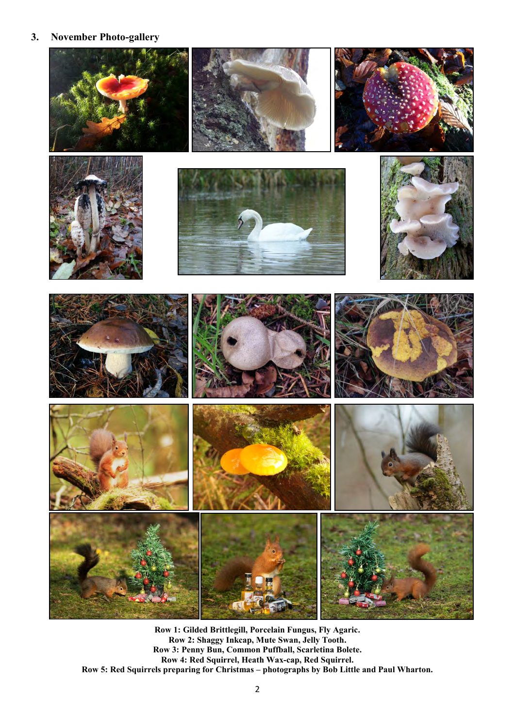**3. November Photo-gallery** 



**Row 1: Gilded Brittlegill, Porcelain Fungus, Fly Agaric. Row 2: Shaggy Inkcap, Mute Swan, Jelly Tooth. Row 3: Penny Bun, Common Puffball, Scarletina Bolete. Row 4: Red Squirrel, Heath Wax-cap, Red Squirrel. Row 5: Red Squirrels preparing for Christmas – photographs by Bob Little and Paul Wharton.**